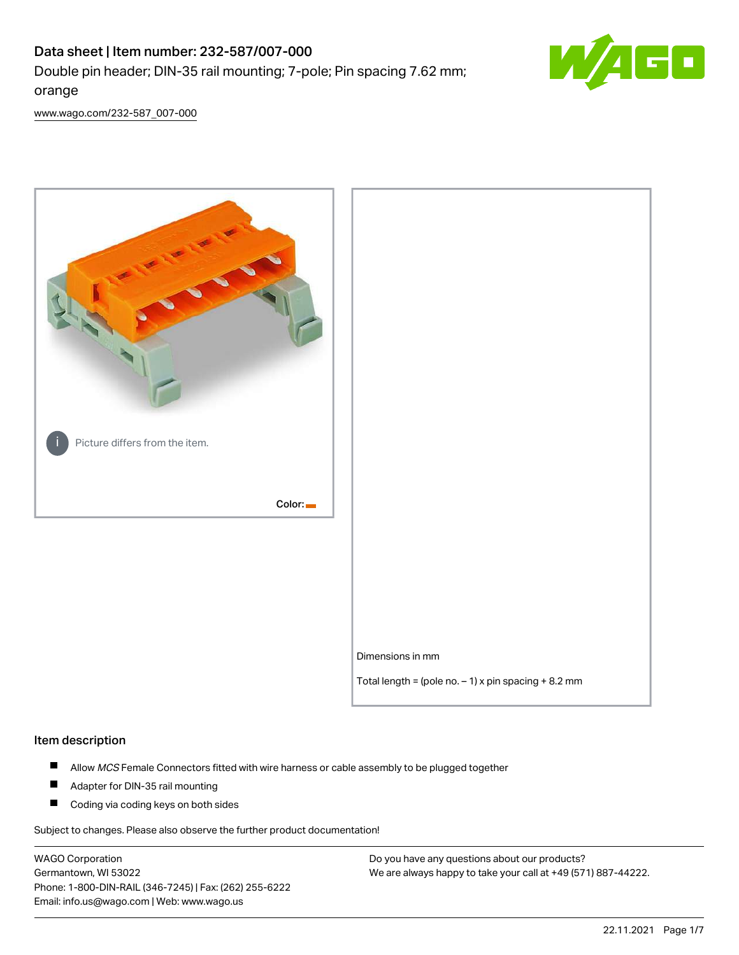# Data sheet | Item number: 232-587/007-000 Double pin header; DIN-35 rail mounting; 7-pole; Pin spacing 7.62 mm; orange



[www.wago.com/232-587\\_007-000](http://www.wago.com/232-587_007-000)



### Item description

- $\blacksquare$ Allow MCS Female Connectors fitted with wire harness or cable assembly to be plugged together
- $\blacksquare$ Adapter for DIN-35 rail mounting
- $\blacksquare$ Coding via coding keys on both sides

Subject to changes. Please also observe the further product documentation!

WAGO Corporation Germantown, WI 53022 Phone: 1-800-DIN-RAIL (346-7245) | Fax: (262) 255-6222 Email: info.us@wago.com | Web: www.wago.us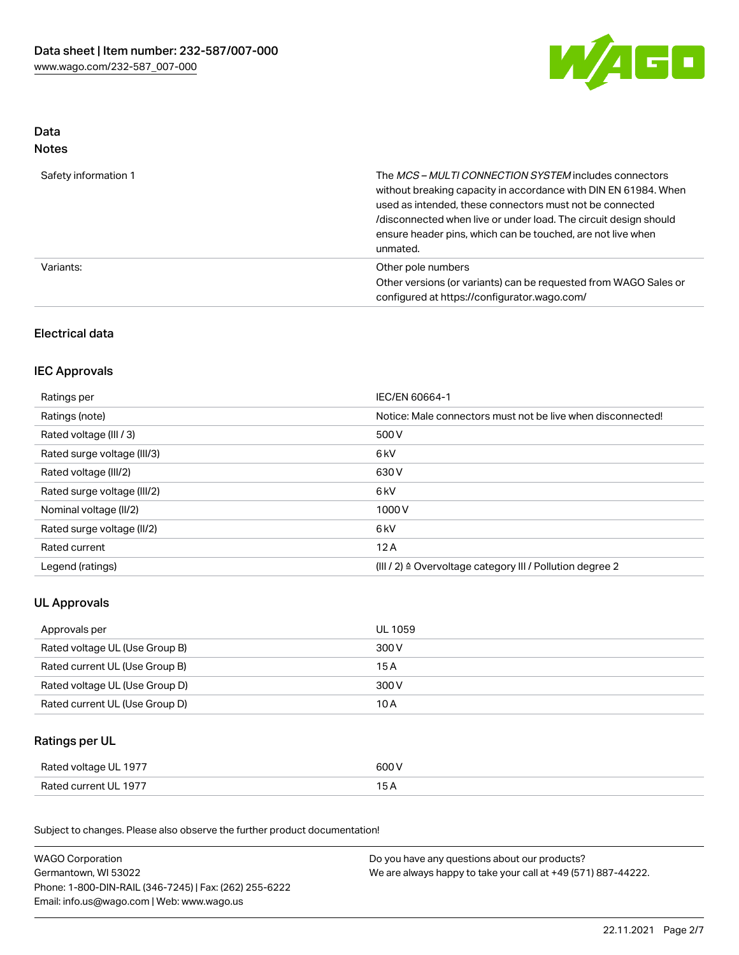

## Data Notes

| Safety information 1 | The <i>MCS – MULTI CONNECTION SYSTEM</i> includes connectors<br>without breaking capacity in accordance with DIN EN 61984. When<br>used as intended, these connectors must not be connected<br>/disconnected when live or under load. The circuit design should<br>ensure header pins, which can be touched, are not live when<br>unmated. |
|----------------------|--------------------------------------------------------------------------------------------------------------------------------------------------------------------------------------------------------------------------------------------------------------------------------------------------------------------------------------------|
| Variants:            | Other pole numbers<br>Other versions (or variants) can be requested from WAGO Sales or<br>configured at https://configurator.wago.com/                                                                                                                                                                                                     |

## Electrical data

## IEC Approvals

| Ratings per                 | IEC/EN 60664-1                                                        |
|-----------------------------|-----------------------------------------------------------------------|
| Ratings (note)              | Notice: Male connectors must not be live when disconnected!           |
| Rated voltage (III / 3)     | 500 V                                                                 |
| Rated surge voltage (III/3) | 6 <sub>kV</sub>                                                       |
| Rated voltage (III/2)       | 630 V                                                                 |
| Rated surge voltage (III/2) | 6 <sub>kV</sub>                                                       |
| Nominal voltage (II/2)      | 1000V                                                                 |
| Rated surge voltage (II/2)  | 6 <sub>kV</sub>                                                       |
| Rated current               | 12A                                                                   |
| Legend (ratings)            | $(III / 2)$ $\triangle$ Overvoltage category III / Pollution degree 2 |

## UL Approvals

| Approvals per                  | UL 1059 |
|--------------------------------|---------|
| Rated voltage UL (Use Group B) | 300 V   |
| Rated current UL (Use Group B) | 15 A    |
| Rated voltage UL (Use Group D) | 300 V   |
| Rated current UL (Use Group D) | 10 A    |

## Ratings per UL

| Rated voltage UL 1977 | 600 V |
|-----------------------|-------|
| Rated current UL 1977 |       |

Subject to changes. Please also observe the further product documentation!

| <b>WAGO Corporation</b>                                | Do you have any questions about our products?                 |
|--------------------------------------------------------|---------------------------------------------------------------|
| Germantown, WI 53022                                   | We are always happy to take your call at +49 (571) 887-44222. |
| Phone: 1-800-DIN-RAIL (346-7245)   Fax: (262) 255-6222 |                                                               |
| Email: info.us@wago.com   Web: www.wago.us             |                                                               |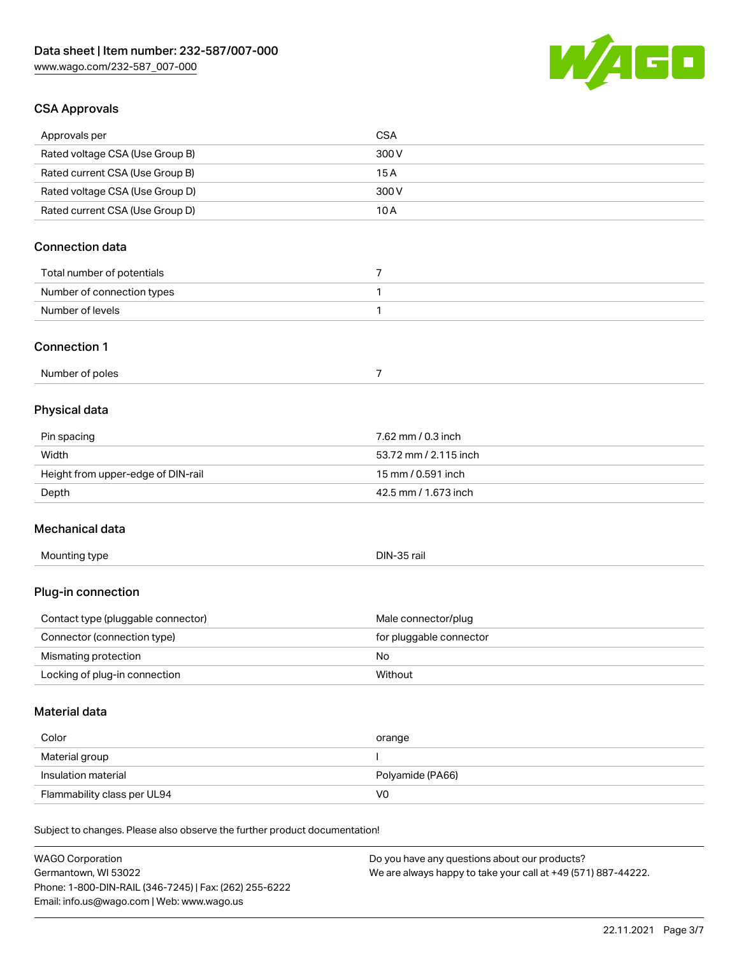

## CSA Approvals

| Approvals per                                                              | <b>CSA</b>                                    |
|----------------------------------------------------------------------------|-----------------------------------------------|
| Rated voltage CSA (Use Group B)                                            | 300V                                          |
| Rated current CSA (Use Group B)                                            | 15A                                           |
| Rated voltage CSA (Use Group D)                                            | 300V                                          |
| Rated current CSA (Use Group D)                                            | 10A                                           |
| <b>Connection data</b>                                                     |                                               |
|                                                                            |                                               |
| Total number of potentials                                                 | $\overline{7}$                                |
| Number of connection types                                                 | 1                                             |
| Number of levels                                                           | 1                                             |
| <b>Connection 1</b>                                                        |                                               |
| Number of poles                                                            | $\overline{7}$                                |
| Physical data                                                              |                                               |
| Pin spacing                                                                | 7.62 mm / 0.3 inch                            |
| Width                                                                      | 53.72 mm / 2.115 inch                         |
| Height from upper-edge of DIN-rail                                         | 15 mm / 0.591 inch                            |
| Depth                                                                      | 42.5 mm / 1.673 inch                          |
| Mechanical data                                                            |                                               |
| Mounting type                                                              | DIN-35 rail                                   |
| Plug-in connection                                                         |                                               |
| Contact type (pluggable connector)                                         | Male connector/plug                           |
| Connector (connection type)                                                | for pluggable connector                       |
| Mismating protection                                                       | No                                            |
| Locking of plug-in connection                                              | Without                                       |
| Material data                                                              |                                               |
| Color                                                                      | orange                                        |
| Material group                                                             | I                                             |
| Insulation material                                                        | Polyamide (PA66)                              |
| Flammability class per UL94                                                | V <sub>0</sub>                                |
| Subject to changes. Please also observe the further product documentation! |                                               |
| WACO Corporation                                                           | Do vou bave any questions about our products? |

WAGO Corporation Germantown, WI 53022 Phone: 1-800-DIN-RAIL (346-7245) | Fax: (262) 255-6222 Email: info.us@wago.com | Web: www.wago.us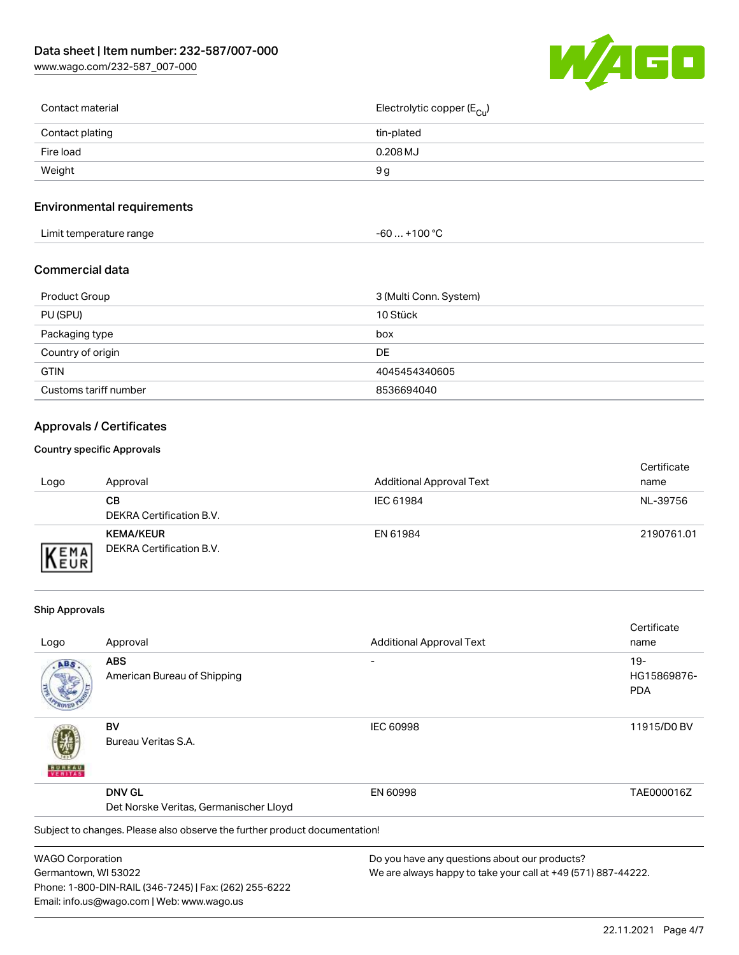[www.wago.com/232-587\\_007-000](http://www.wago.com/232-587_007-000)



| Contact material | Electrolytic copper ( $E_{\text{Cu}}$ ) |
|------------------|-----------------------------------------|
| Contact plating  | tin-plated                              |
| Fire load        | $0.208$ MJ                              |
| Weight           | 9 a                                     |
|                  |                                         |

## Environmental requirements

| Limit temperature range<br>. | $. +100 °C$<br>-60 |  |
|------------------------------|--------------------|--|
|------------------------------|--------------------|--|

### Commercial data

| Product Group         | 3 (Multi Conn. System) |
|-----------------------|------------------------|
| PU (SPU)              | 10 Stück               |
| Packaging type        | box                    |
| Country of origin     | DE                     |
| <b>GTIN</b>           | 4045454340605          |
| Customs tariff number | 8536694040             |

## Approvals / Certificates

#### Country specific Approvals

| Logo                        | Approval                                     | <b>Additional Approval Text</b> | Certificate<br>name |
|-----------------------------|----------------------------------------------|---------------------------------|---------------------|
|                             | CВ<br>DEKRA Certification B.V.               | IEC 61984                       | NL-39756            |
| <b>VEMA</b><br><b>INEUR</b> | <b>KEMA/KEUR</b><br>DEKRA Certification B.V. | EN 61984                        | 2190761.01          |

#### Ship Approvals

Email: info.us@wago.com | Web: www.wago.us

|                         |                                                                            |                                                               | Certificate |
|-------------------------|----------------------------------------------------------------------------|---------------------------------------------------------------|-------------|
| Logo                    | Approval                                                                   | <b>Additional Approval Text</b>                               | name        |
| ABS                     | <b>ABS</b>                                                                 |                                                               | $19-$       |
|                         | American Bureau of Shipping                                                |                                                               | HG15869876- |
|                         |                                                                            |                                                               | <b>PDA</b>  |
|                         | BV                                                                         | <b>IEC 60998</b>                                              | 11915/D0 BV |
|                         | Bureau Veritas S.A.                                                        |                                                               |             |
|                         | <b>DNV GL</b>                                                              | EN 60998                                                      | TAE000016Z  |
|                         | Det Norske Veritas, Germanischer Lloyd                                     |                                                               |             |
|                         | Subject to changes. Please also observe the further product documentation! |                                                               |             |
| <b>WAGO Corporation</b> |                                                                            | Do you have any questions about our products?                 |             |
| Germantown, WI 53022    |                                                                            | We are always happy to take your call at +49 (571) 887-44222. |             |
|                         | Phone: 1-800-DIN-RAIL (346-7245)   Fax: (262) 255-6222                     |                                                               |             |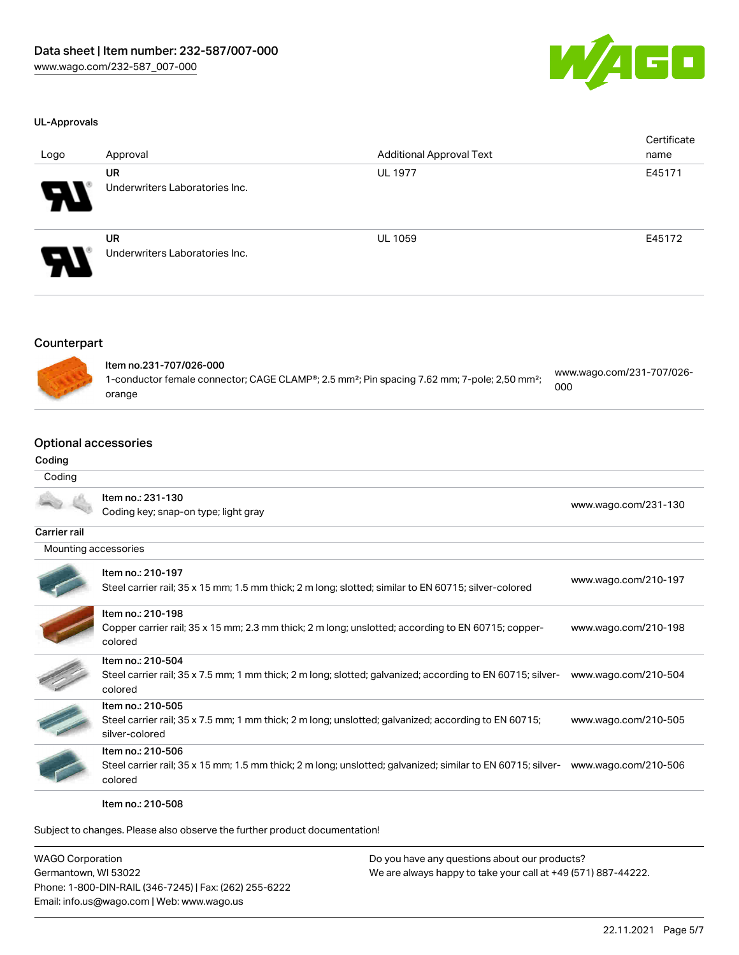

#### UL-Approvals

| Logo                   | Approval                                    | <b>Additional Approval Text</b> | Certificate<br>name |
|------------------------|---------------------------------------------|---------------------------------|---------------------|
| $\boldsymbol{\varphi}$ | UR<br>Underwriters Laboratories Inc.        | <b>UL 1977</b>                  | E45171              |
| 8                      | <b>UR</b><br>Underwriters Laboratories Inc. | <b>UL 1059</b>                  | E45172              |

## Counterpart



| Item no.231-707/026-000                                                                                              |                                  |
|----------------------------------------------------------------------------------------------------------------------|----------------------------------|
| 1-conductor female connector; CAGE CLAMP®; 2.5 mm <sup>2</sup> ; Pin spacing 7.62 mm; 7-pole; 2,50 mm <sup>2</sup> ; | www.wago.com/231-707/026-<br>000 |
| orange                                                                                                               |                                  |

## Optional accessories

## Coding

| Coding               |                                                                                                                                             |                      |
|----------------------|---------------------------------------------------------------------------------------------------------------------------------------------|----------------------|
|                      | Item no.: 231-130<br>Coding key; snap-on type; light gray                                                                                   | www.wago.com/231-130 |
| <b>Carrier rail</b>  |                                                                                                                                             |                      |
| Mounting accessories |                                                                                                                                             |                      |
|                      | Item no.: 210-197<br>Steel carrier rail; 35 x 15 mm; 1.5 mm thick; 2 m long; slotted; similar to EN 60715; silver-colored                   | www.wago.com/210-197 |
|                      | Item no.: 210-198<br>Copper carrier rail; 35 x 15 mm; 2.3 mm thick; 2 m long; unslotted; according to EN 60715; copper-<br>colored          | www.wago.com/210-198 |
|                      | Item no.: 210-504<br>Steel carrier rail; 35 x 7.5 mm; 1 mm thick; 2 m long; slotted; galvanized; according to EN 60715; silver-<br>colored  | www.wago.com/210-504 |
|                      | Item no.: 210-505<br>Steel carrier rail; 35 x 7.5 mm; 1 mm thick; 2 m long; unslotted; galvanized; according to EN 60715;<br>silver-colored | www.wago.com/210-505 |
|                      | Item no.: 210-506<br>Steel carrier rail; 35 x 15 mm; 1.5 mm thick; 2 m long; unslotted; galvanized; similar to EN 60715; silver-<br>colored | www.wago.com/210-506 |

Item no.: 210-508

Subject to changes. Please also observe the further product documentation!

| <b>WAGO Corporation</b>                                | Do you have any questions about our products?                 |
|--------------------------------------------------------|---------------------------------------------------------------|
| Germantown, WI 53022                                   | We are always happy to take your call at +49 (571) 887-44222. |
| Phone: 1-800-DIN-RAIL (346-7245)   Fax: (262) 255-6222 |                                                               |
| Email: info.us@wago.com   Web: www.wago.us             |                                                               |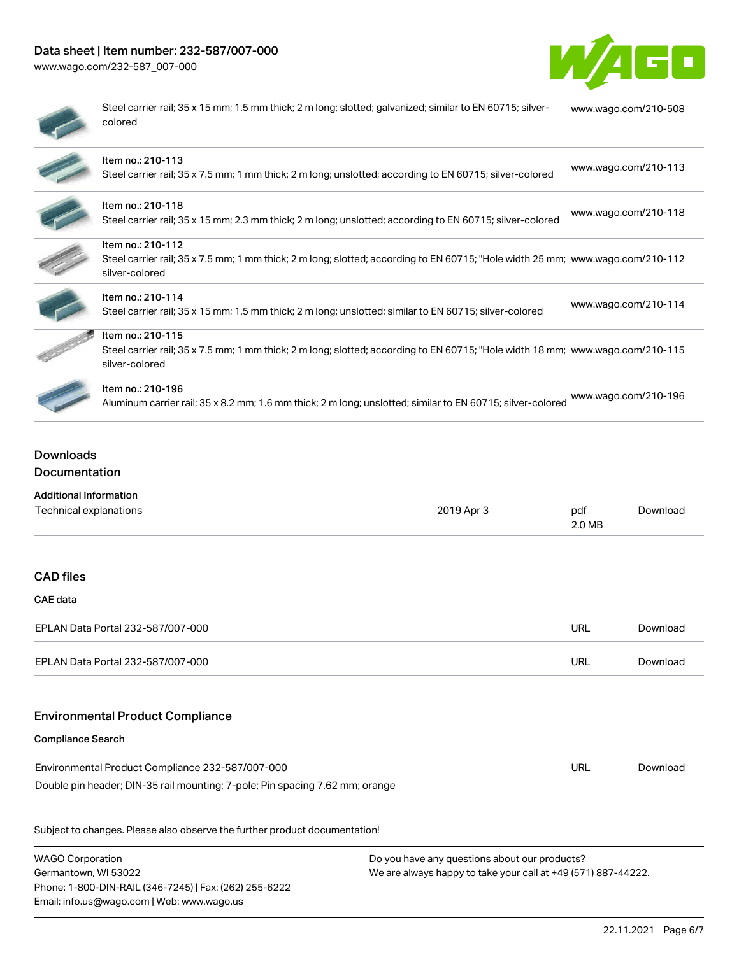## Data sheet | Item number: 232-587/007-000

[www.wago.com/232-587\\_007-000](http://www.wago.com/232-587_007-000)



| $\sim$ |
|--------|
|        |
| ۱      |
|        |

Steel carrier rail; 35 x 15 mm; 1.5 mm thick; 2 m long; slotted; galvanized; similar to EN 60715; silvercolored [www.wago.com/210-508](http://www.wago.com/210-508)

| Item no.: 210-113<br>Steel carrier rail; 35 x 7.5 mm; 1 mm thick; 2 m long; unslotted; according to EN 60715; silver-colored                                          | www.wago.com/210-113 |
|-----------------------------------------------------------------------------------------------------------------------------------------------------------------------|----------------------|
| Item no.: 210-118<br>Steel carrier rail; 35 x 15 mm; 2.3 mm thick; 2 m long; unslotted; according to EN 60715; silver-colored                                         | www.wago.com/210-118 |
| Item no.: 210-112<br>Steel carrier rail; 35 x 7.5 mm; 1 mm thick; 2 m long; slotted; according to EN 60715; "Hole width 25 mm; www.wago.com/210-112<br>silver-colored |                      |
| Item no.: 210-114<br>Steel carrier rail; 35 x 15 mm; 1.5 mm thick; 2 m long; unslotted; similar to EN 60715; silver-colored                                           | www.wago.com/210-114 |
| Item no.: 210-115<br>Steel carrier rail; 35 x 7.5 mm; 1 mm thick; 2 m long; slotted; according to EN 60715; "Hole width 18 mm; www.wago.com/210-115<br>silver-colored |                      |
| Item no.: 210-196<br>Aluminum carrier rail; 35 x 8.2 mm; 1.6 mm thick; 2 m long; unslotted; similar to EN 60715; silver-colored                                       | www.wago.com/210-196 |

## Downloads Documentation

| <b>Additional Information</b>                                                |            |               |          |
|------------------------------------------------------------------------------|------------|---------------|----------|
| Technical explanations                                                       | 2019 Apr 3 | pdf<br>2.0 MB | Download |
|                                                                              |            |               |          |
| <b>CAD files</b>                                                             |            |               |          |
| CAE data                                                                     |            |               |          |
| EPLAN Data Portal 232-587/007-000                                            |            | <b>URL</b>    | Download |
| EPLAN Data Portal 232-587/007-000                                            |            | <b>URL</b>    | Download |
| <b>Environmental Product Compliance</b>                                      |            |               |          |
| <b>Compliance Search</b>                                                     |            |               |          |
| Environmental Product Compliance 232-587/007-000                             |            | <b>URL</b>    | Download |
| Double pin header; DIN-35 rail mounting; 7-pole; Pin spacing 7.62 mm; orange |            |               |          |
| Subject to changes. Please also observe the further product documentation!   |            |               |          |
|                                                                              |            |               |          |

WAGO Corporation Germantown, WI 53022 Phone: 1-800-DIN-RAIL (346-7245) | Fax: (262) 255-6222 Email: info.us@wago.com | Web: www.wago.us